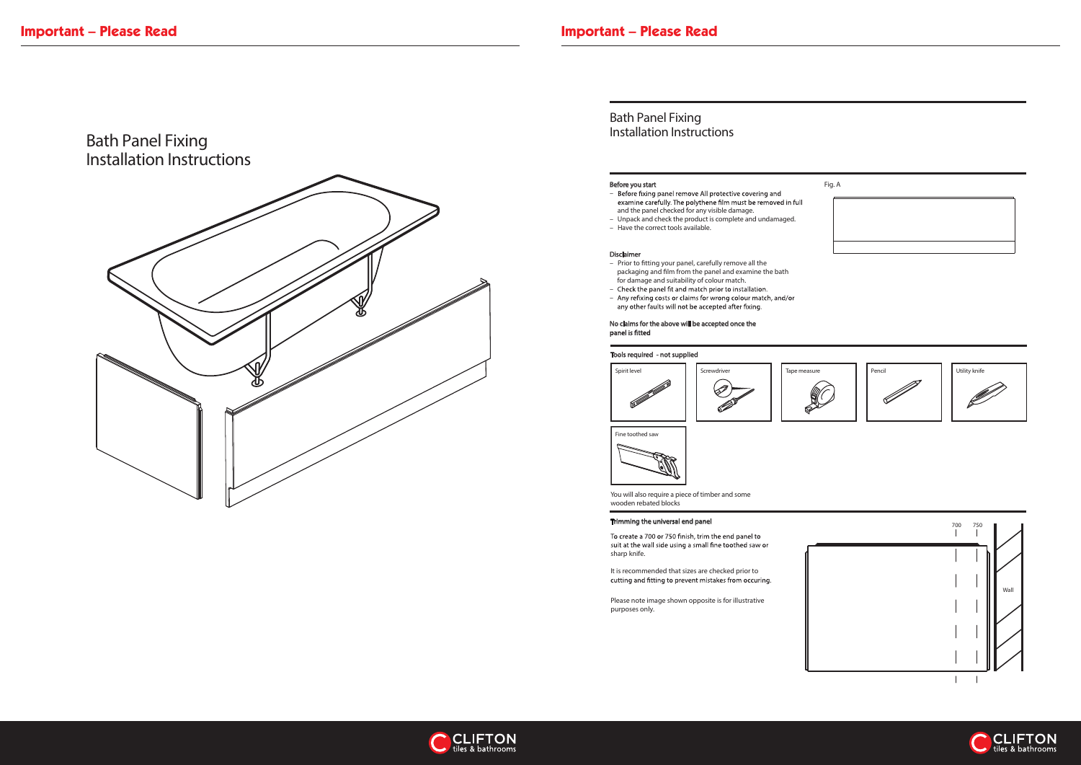

### Before you start

- Before fixing panel remove All protective covering and<br>examine carefully. The polythene film must be removed in full and the panel checked for any visible damage.
- Unpack and check the product is complete and undamaged.
- Have the correct tools available.

- Prior to fitting your panel, carefully remove all the packaging and film from the panel and examine the bath for damage and suitability of colour match.
- Check the panel fit and match prior to installation.
- Any refixing costs or claims for wrong colour match, and/or<br>any other faults will not be accepted after fixing.

D

## Disclaimer

To create a 700 or 750 finish, trim the end panel to suit at the wall side using a small fine toothed saw or sharp knife.

It is recommended that sizes are checked prior to<br>cutting and fitting to prevent mistakes from occuring.

# No claims for the above will be accepted once the





# Bath Panel Fixing Installation Instructions

You will also require a piece of timber and some wooden rebated blocks







Please note image shown opposite is for illustrative purposes only.



Fine toothed saw



### Tools required - not supplied





### Trimming the universal end panel